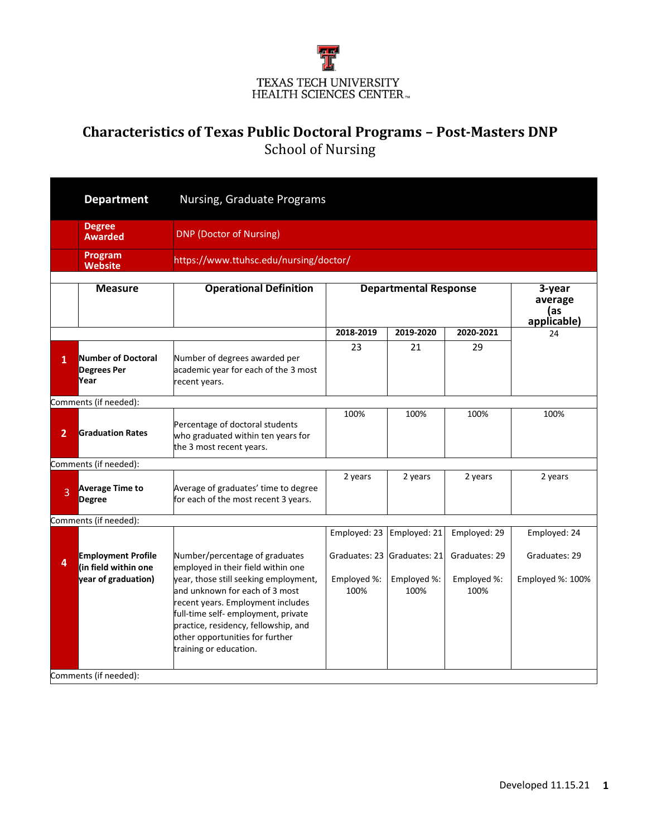

## **Characteristics of Texas Public Doctoral Programs – Post-Masters DNP** School of Nursing

|                | <b>Department</b>                                                        | Nursing, Graduate Programs                                                                                                                                                                                                  |                                                                          |                                                      |                                                      |                                                   |  |  |
|----------------|--------------------------------------------------------------------------|-----------------------------------------------------------------------------------------------------------------------------------------------------------------------------------------------------------------------------|--------------------------------------------------------------------------|------------------------------------------------------|------------------------------------------------------|---------------------------------------------------|--|--|
|                | <b>Degree</b><br><b>Awarded</b>                                          | <b>DNP (Doctor of Nursing)</b>                                                                                                                                                                                              |                                                                          |                                                      |                                                      |                                                   |  |  |
|                | Program<br><b>Website</b>                                                | https://www.ttuhsc.edu/nursing/doctor/                                                                                                                                                                                      |                                                                          |                                                      |                                                      |                                                   |  |  |
|                | <b>Measure</b>                                                           | <b>Operational Definition</b>                                                                                                                                                                                               | <b>Departmental Response</b><br>3-year<br>average<br>las.<br>applicable) |                                                      |                                                      |                                                   |  |  |
|                |                                                                          |                                                                                                                                                                                                                             | 2018-2019                                                                | 2019-2020                                            | 2020-2021                                            | 24                                                |  |  |
| $\mathbf{1}$   | <b>Number of Doctoral</b><br><b>Degrees Per</b><br>Year                  | Number of degrees awarded per<br>academic year for each of the 3 most<br>recent years.                                                                                                                                      | 23                                                                       | 21                                                   | 29                                                   |                                                   |  |  |
|                | Comments (if needed):                                                    |                                                                                                                                                                                                                             |                                                                          |                                                      |                                                      |                                                   |  |  |
| $\overline{2}$ | <b>Graduation Rates</b>                                                  | Percentage of doctoral students<br>who graduated within ten years for<br>the 3 most recent years.                                                                                                                           | 100%                                                                     | 100%                                                 | 100%                                                 | 100%                                              |  |  |
|                | Comments (if needed):                                                    |                                                                                                                                                                                                                             |                                                                          |                                                      |                                                      |                                                   |  |  |
| 3              | <b>Average Time to</b><br><b>Degree</b>                                  | Average of graduates' time to degree<br>for each of the most recent 3 years.                                                                                                                                                | 2 years                                                                  | 2 years                                              | 2 years                                              | 2 years                                           |  |  |
|                | Comments (if needed):                                                    |                                                                                                                                                                                                                             |                                                                          |                                                      |                                                      |                                                   |  |  |
| 4              | <b>Employment Profile</b><br>(in field within one<br>year of graduation) | Number/percentage of graduates<br>employed in their field within one<br>year, those still seeking employment,<br>and unknown for each of 3 most<br>recent years. Employment includes<br>full-time self- employment, private | Employed: 23<br>Graduates: 23<br>Employed %:<br>100%                     | Employed: 21<br>Graduates: 21<br>Employed %:<br>100% | Employed: 29<br>Graduates: 29<br>Employed %:<br>100% | Employed: 24<br>Graduates: 29<br>Employed %: 100% |  |  |
|                | Comments (if needed):                                                    | practice, residency, fellowship, and<br>other opportunities for further<br>training or education.                                                                                                                           |                                                                          |                                                      |                                                      |                                                   |  |  |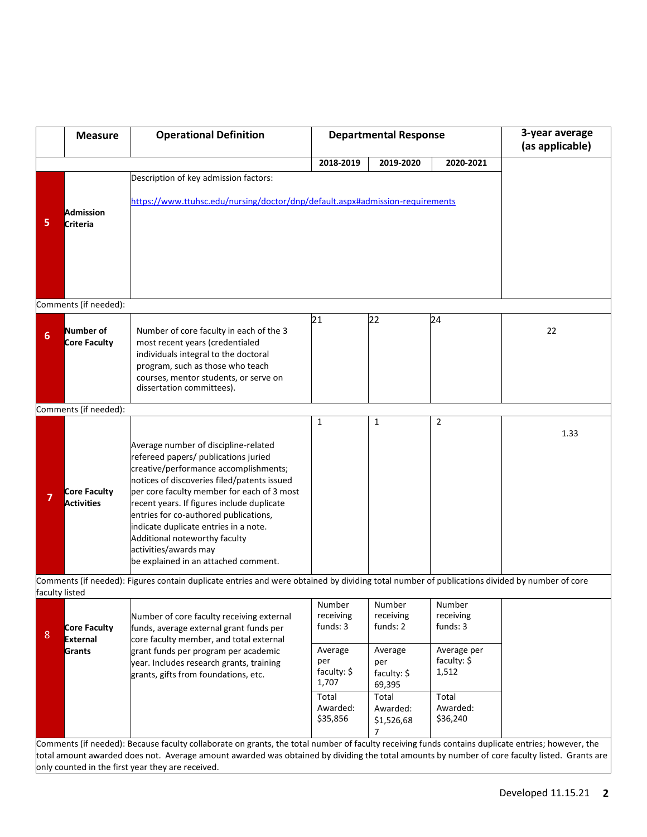|   | <b>Measure</b>                                                                                                                                                 | <b>Operational Definition</b>                                                                                                                                                                                                                                                                                                                                                                                                                        |                                                              | <b>Departmental Response</b>                                                      | 3-year average<br>(as applicable)                     |      |  |  |
|---|----------------------------------------------------------------------------------------------------------------------------------------------------------------|------------------------------------------------------------------------------------------------------------------------------------------------------------------------------------------------------------------------------------------------------------------------------------------------------------------------------------------------------------------------------------------------------------------------------------------------------|--------------------------------------------------------------|-----------------------------------------------------------------------------------|-------------------------------------------------------|------|--|--|
|   |                                                                                                                                                                |                                                                                                                                                                                                                                                                                                                                                                                                                                                      | 2018-2019                                                    | 2019-2020                                                                         | 2020-2021                                             |      |  |  |
|   |                                                                                                                                                                | Description of key admission factors:                                                                                                                                                                                                                                                                                                                                                                                                                |                                                              |                                                                                   |                                                       |      |  |  |
| 5 | <b>Admission</b><br>Criteria                                                                                                                                   | https://www.ttuhsc.edu/nursing/doctor/dnp/default.aspx#admission-requirements                                                                                                                                                                                                                                                                                                                                                                        |                                                              |                                                                                   |                                                       |      |  |  |
|   | Comments (if needed):                                                                                                                                          |                                                                                                                                                                                                                                                                                                                                                                                                                                                      |                                                              |                                                                                   |                                                       |      |  |  |
|   |                                                                                                                                                                |                                                                                                                                                                                                                                                                                                                                                                                                                                                      |                                                              |                                                                                   |                                                       |      |  |  |
| 6 | Number of<br><b>Core Faculty</b>                                                                                                                               | Number of core faculty in each of the 3<br>most recent years (credentialed<br>individuals integral to the doctoral<br>program, such as those who teach<br>courses, mentor students, or serve on<br>dissertation committees).                                                                                                                                                                                                                         | 21                                                           | 22                                                                                | 24                                                    | 22   |  |  |
|   | Comments (if needed):                                                                                                                                          |                                                                                                                                                                                                                                                                                                                                                                                                                                                      |                                                              |                                                                                   |                                                       |      |  |  |
| 7 | Core Faculty<br><b>Activities</b>                                                                                                                              | Average number of discipline-related<br>refereed papers/ publications juried<br>creative/performance accomplishments;<br>notices of discoveries filed/patents issued<br>per core faculty member for each of 3 most<br>recent years. If figures include duplicate<br>entries for co-authored publications,<br>indicate duplicate entries in a note.<br>Additional noteworthy faculty<br>activities/awards may<br>be explained in an attached comment. | $\mathbf{1}$                                                 | $\mathbf{1}$                                                                      | $\overline{2}$                                        | 1.33 |  |  |
|   | Comments (if needed): Figures contain duplicate entries and were obtained by dividing total number of publications divided by number of core<br>faculty listed |                                                                                                                                                                                                                                                                                                                                                                                                                                                      |                                                              |                                                                                   |                                                       |      |  |  |
| 8 | <b>Core Faculty</b><br><b>External</b><br><b>Grants</b>                                                                                                        | Number of core faculty receiving external<br>funds, average external grant funds per<br>core faculty member, and total external<br>grant funds per program per academic                                                                                                                                                                                                                                                                              | Number<br>receiving<br>funds: 3<br>Average                   | Number<br>receiving<br>funds: 2<br>Average                                        | Number<br>receiving<br>funds: 3<br>Average per        |      |  |  |
|   |                                                                                                                                                                | year. Includes research grants, training<br>grants, gifts from foundations, etc.<br>Comments (if needed): Because faculty collaborate on grants, the total number of faculty receiving funds contains duplicate entries; however, the                                                                                                                                                                                                                | per<br>faculty: \$<br>1,707<br>Total<br>Awarded:<br>\$35,856 | per<br>faculty: \$<br>69,395<br>Total<br>Awarded:<br>\$1,526,68<br>$\overline{7}$ | faculty: \$<br>1,512<br>Total<br>Awarded:<br>\$36,240 |      |  |  |

Comments (if needed): Because faculty collaborate on grants, the total number of faculty receiving funds contains duplicate entries; however, the total amount awarded does not. Average amount awarded was obtained by dividing the total amounts by number of core faculty listed. Grants are only counted in the first year they are received.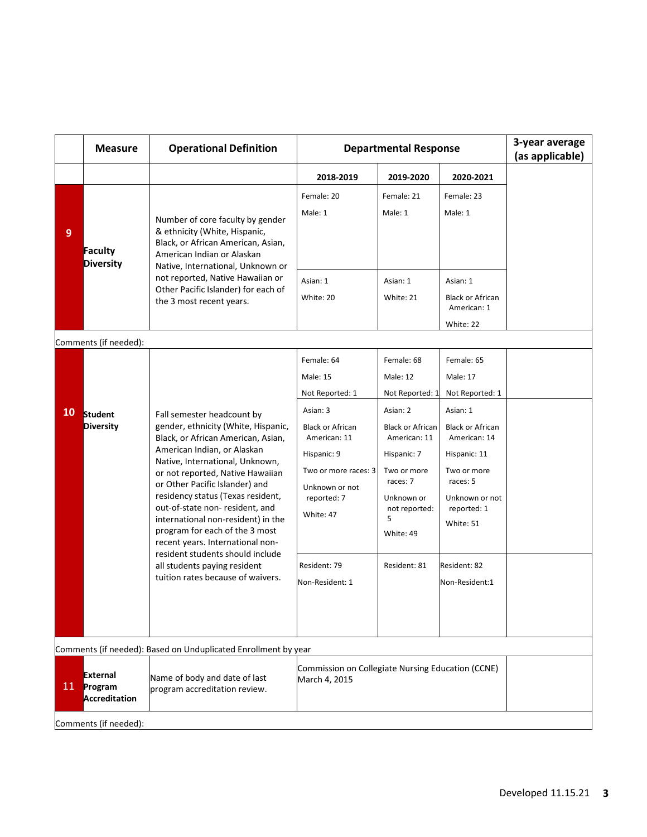|                       | <b>Measure</b>                                                 | <b>Operational Definition</b>                                                                                                                                                                                                                                                                                                                                                                                                                                                                                                               | <b>Departmental Response</b>                                                                                                                                                          |                                                                                                                                                                                                    |                                                                                                                                                                                           | 3-year average<br>(as applicable) |  |  |
|-----------------------|----------------------------------------------------------------|---------------------------------------------------------------------------------------------------------------------------------------------------------------------------------------------------------------------------------------------------------------------------------------------------------------------------------------------------------------------------------------------------------------------------------------------------------------------------------------------------------------------------------------------|---------------------------------------------------------------------------------------------------------------------------------------------------------------------------------------|----------------------------------------------------------------------------------------------------------------------------------------------------------------------------------------------------|-------------------------------------------------------------------------------------------------------------------------------------------------------------------------------------------|-----------------------------------|--|--|
|                       |                                                                |                                                                                                                                                                                                                                                                                                                                                                                                                                                                                                                                             | 2018-2019                                                                                                                                                                             | 2019-2020                                                                                                                                                                                          | 2020-2021                                                                                                                                                                                 |                                   |  |  |
| $\overline{9}$        | Faculty<br><b>Diversity</b>                                    | Number of core faculty by gender<br>& ethnicity (White, Hispanic,<br>Black, or African American, Asian,<br>American Indian or Alaskan<br>Native, International, Unknown or<br>not reported, Native Hawaiian or<br>Other Pacific Islander) for each of<br>the 3 most recent years.                                                                                                                                                                                                                                                           | Female: 20<br>Male: 1<br>Asian: 1                                                                                                                                                     | Female: 21<br>Male: 1<br>Asian: 1                                                                                                                                                                  | Female: 23<br>Male: 1<br>Asian: 1                                                                                                                                                         |                                   |  |  |
|                       |                                                                |                                                                                                                                                                                                                                                                                                                                                                                                                                                                                                                                             | White: 20                                                                                                                                                                             | White: 21                                                                                                                                                                                          | <b>Black or African</b><br>American: 1<br>White: 22                                                                                                                                       |                                   |  |  |
|                       | Comments (if needed):                                          |                                                                                                                                                                                                                                                                                                                                                                                                                                                                                                                                             |                                                                                                                                                                                       |                                                                                                                                                                                                    |                                                                                                                                                                                           |                                   |  |  |
|                       | 10 Student<br><b>Diversity</b>                                 | Fall semester headcount by<br>gender, ethnicity (White, Hispanic,<br>Black, or African American, Asian,<br>American Indian, or Alaskan<br>Native, International, Unknown,<br>or not reported, Native Hawaiian<br>or Other Pacific Islander) and<br>residency status (Texas resident,<br>out-of-state non-resident, and<br>international non-resident) in the<br>program for each of the 3 most<br>recent years. International non-<br>resident students should include<br>all students paying resident<br>tuition rates because of waivers. | Female: 64<br>Male: 15<br>Not Reported: 1<br>Asian: 3<br><b>Black or African</b><br>American: 11<br>Hispanic: 9<br>Two or more races: 3<br>Unknown or not<br>reported: 7<br>White: 47 | Female: 68<br><b>Male: 12</b><br>Not Reported: 1<br>Asian: 2<br><b>Black or African</b><br>American: 11<br>Hispanic: 7<br>Two or more<br>races: 7<br>Unknown or<br>not reported:<br>5<br>White: 49 | Female: 65<br>Male: 17<br>Not Reported: 1<br>Asian: 1<br><b>Black or African</b><br>American: 14<br>Hispanic: 11<br>Two or more<br>races: 5<br>Unknown or not<br>reported: 1<br>White: 51 |                                   |  |  |
|                       |                                                                |                                                                                                                                                                                                                                                                                                                                                                                                                                                                                                                                             | Resident: 79<br>Non-Resident: 1                                                                                                                                                       | Resident: 81                                                                                                                                                                                       | Resident: 82<br>Non-Resident:1                                                                                                                                                            |                                   |  |  |
|                       | Comments (if needed): Based on Unduplicated Enrollment by year |                                                                                                                                                                                                                                                                                                                                                                                                                                                                                                                                             |                                                                                                                                                                                       |                                                                                                                                                                                                    |                                                                                                                                                                                           |                                   |  |  |
| 11 <sup>1</sup>       | <b>External</b><br>Program<br>Accreditation                    | Name of body and date of last<br>program accreditation review.                                                                                                                                                                                                                                                                                                                                                                                                                                                                              | Commission on Collegiate Nursing Education (CCNE)<br>March 4, 2015                                                                                                                    |                                                                                                                                                                                                    |                                                                                                                                                                                           |                                   |  |  |
| Comments (if needed): |                                                                |                                                                                                                                                                                                                                                                                                                                                                                                                                                                                                                                             |                                                                                                                                                                                       |                                                                                                                                                                                                    |                                                                                                                                                                                           |                                   |  |  |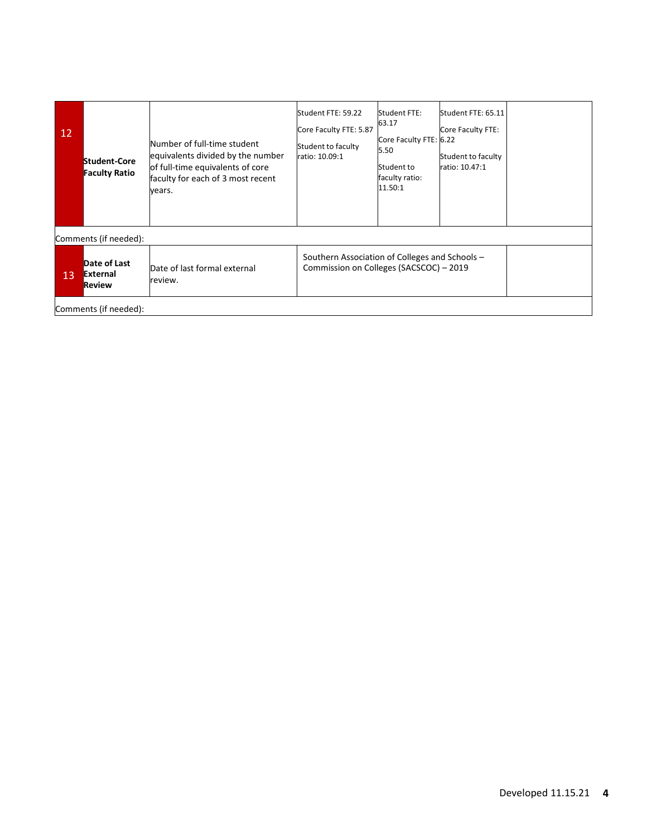| 12 <sup>°</sup> | Student-Core<br><b>Faculty Ratio</b> | Number of full-time student<br>equivalents divided by the number<br>of full-time equivalents of core<br>faculty for each of 3 most recent<br>vears. | Student FTE: 59.22<br>Core Faculty FTE: 5.87<br>Student to faculty<br>ratio: 10.09:1      | Student FTE:<br>63.17<br>Core Faculty FTE: 6.22<br>5.50<br>Student to<br>faculty ratio:<br>11.50:1 | Student FTE: 65.11<br>Core Faculty FTE:<br>Student to faculty<br>ratio: 10.47:1 |  |  |  |  |
|-----------------|--------------------------------------|-----------------------------------------------------------------------------------------------------------------------------------------------------|-------------------------------------------------------------------------------------------|----------------------------------------------------------------------------------------------------|---------------------------------------------------------------------------------|--|--|--|--|
|                 | Comments (if needed):                |                                                                                                                                                     |                                                                                           |                                                                                                    |                                                                                 |  |  |  |  |
| 13              | Date of Last<br>External<br>Review   | Date of last formal external<br>review.                                                                                                             | Southern Association of Colleges and Schools -<br>Commission on Colleges (SACSCOC) - 2019 |                                                                                                    |                                                                                 |  |  |  |  |
|                 | Comments (if needed):                |                                                                                                                                                     |                                                                                           |                                                                                                    |                                                                                 |  |  |  |  |